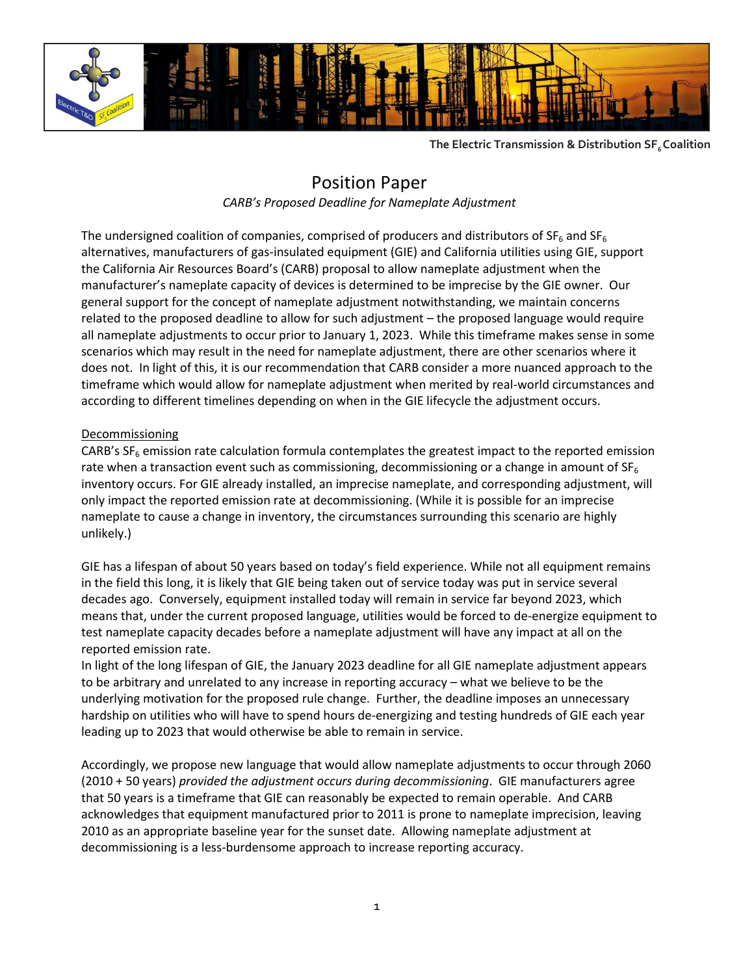

**The Electric Transmission & Distribution SF6 Coalition**

## Position Paper

*CARB's Proposed Deadline for Nameplate Adjustment*

The undersigned coalition of companies, comprised of producers and distributors of  $SF_6$  and  $SF_6$ alternatives, manufacturers of gas-insulated equipment (GIE) and California utilities using GIE, support the California Air Resources Board's (CARB) proposal to allow nameplate adjustment when the manufacturer's nameplate capacity of devices is determined to be imprecise by the GIE owner. Our general support for the concept of nameplate adjustment notwithstanding, we maintain concerns related to the proposed deadline to allow for such adjustment – the proposed language would require all nameplate adjustments to occur prior to January 1, 2023. While this timeframe makes sense in some scenarios which may result in the need for nameplate adjustment, there are other scenarios where it does not. In light of this, it is our recommendation that CARB consider a more nuanced approach to the timeframe which would allow for nameplate adjustment when merited by real-world circumstances and according to different timelines depending on when in the GIE lifecycle the adjustment occurs.

## Decommissioning

CARB's  $SF<sub>6</sub>$  emission rate calculation formula contemplates the greatest impact to the reported emission rate when a transaction event such as commissioning, decommissioning or a change in amount of  $SF_6$ inventory occurs. For GIE already installed, an imprecise nameplate, and corresponding adjustment, will only impact the reported emission rate at decommissioning. (While it is possible for an imprecise nameplate to cause a change in inventory, the circumstances surrounding this scenario are highly unlikely.)

GIE has a lifespan of about 50 years based on today's field experience. While not all equipment remains in the field this long, it is likely that GIE being taken out of service today was put in service several decades ago. Conversely, equipment installed today will remain in service far beyond 2023, which means that, under the current proposed language, utilities would be forced to de-energize equipment to test nameplate capacity decades before a nameplate adjustment will have any impact at all on the reported emission rate.

In light of the long lifespan of GIE, the January 2023 deadline for all GIE nameplate adjustment appears to be arbitrary and unrelated to any increase in reporting accuracy – what we believe to be the underlying motivation for the proposed rule change. Further, the deadline imposes an unnecessary hardship on utilities who will have to spend hours de-energizing and testing hundreds of GIE each year leading up to 2023 that would otherwise be able to remain in service.

Accordingly, we propose new language that would allow nameplate adjustments to occur through 2060 (2010 + 50 years) *provided the adjustment occurs during decommissioning*. GIE manufacturers agree that 50 years is a timeframe that GIE can reasonably be expected to remain operable. And CARB acknowledges that equipment manufactured prior to 2011 is prone to nameplate imprecision, leaving 2010 as an appropriate baseline year for the sunset date. Allowing nameplate adjustment at decommissioning is a less-burdensome approach to increase reporting accuracy.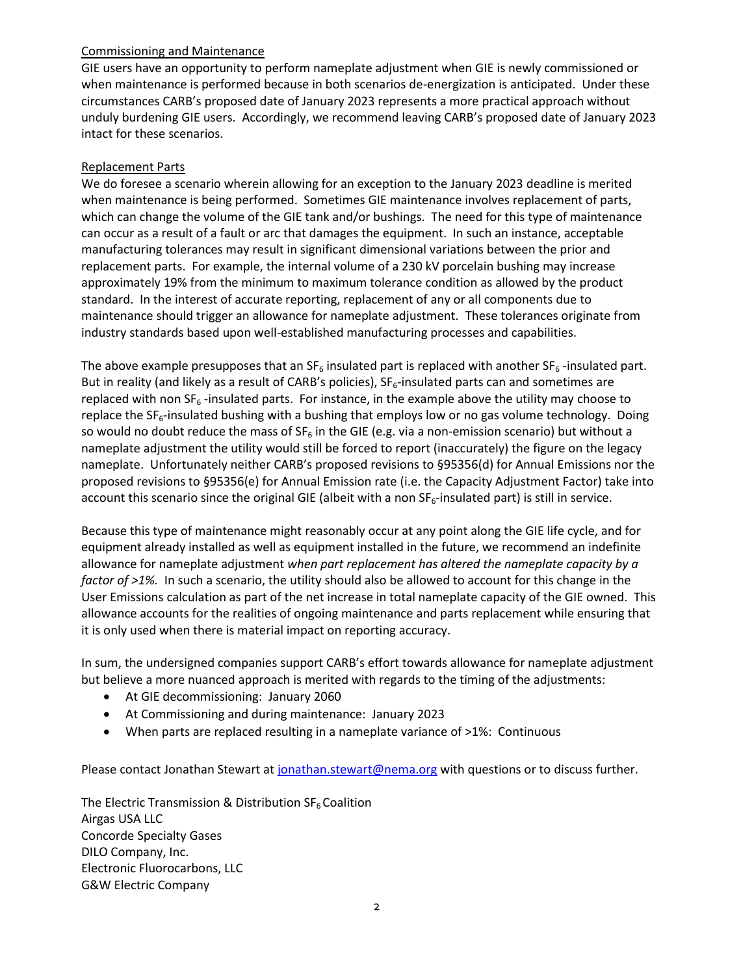## Commissioning and Maintenance

GIE users have an opportunity to perform nameplate adjustment when GIE is newly commissioned or when maintenance is performed because in both scenarios de-energization is anticipated. Under these circumstances CARB's proposed date of January 2023 represents a more practical approach without unduly burdening GIE users. Accordingly, we recommend leaving CARB's proposed date of January 2023 intact for these scenarios.

## Replacement Parts

We do foresee a scenario wherein allowing for an exception to the January 2023 deadline is merited when maintenance is being performed. Sometimes GIE maintenance involves replacement of parts, which can change the volume of the GIE tank and/or bushings. The need for this type of maintenance can occur as a result of a fault or arc that damages the equipment. In such an instance, acceptable manufacturing tolerances may result in significant dimensional variations between the prior and replacement parts. For example, the internal volume of a 230 kV porcelain bushing may increase approximately 19% from the minimum to maximum tolerance condition as allowed by the product standard. In the interest of accurate reporting, replacement of any or all components due to maintenance should trigger an allowance for nameplate adjustment.These tolerances originate from industry standards based upon well-established manufacturing processes and capabilities.

The above example presupposes that an SF<sub>6</sub> insulated part is replaced with another SF<sub>6</sub> -insulated part. But in reality (and likely as a result of CARB's policies),  $SF_6$ -insulated parts can and sometimes are replaced with non  $SF_6$ -insulated parts. For instance, in the example above the utility may choose to replace the  $SF<sub>6</sub>$ -insulated bushing with a bushing that employs low or no gas volume technology. Doing so would no doubt reduce the mass of  $SF_6$  in the GIE (e.g. via a non-emission scenario) but without a nameplate adjustment the utility would still be forced to report (inaccurately) the figure on the legacy nameplate. Unfortunately neither CARB's proposed revisions to §95356(d) for Annual Emissions nor the proposed revisions to §95356(e) for Annual Emission rate (i.e. the Capacity Adjustment Factor) take into account this scenario since the original GIE (albeit with a non  $SF_6$ -insulated part) is still in service.

Because this type of maintenance might reasonably occur at any point along the GIE life cycle, and for equipment already installed as well as equipment installed in the future, we recommend an indefinite allowance for nameplate adjustment *when part replacement has altered the nameplate capacity by a factor of >1%.* In such a scenario, the utility should also be allowed to account for this change in the User Emissions calculation as part of the net increase in total nameplate capacity of the GIE owned. This allowance accounts for the realities of ongoing maintenance and parts replacement while ensuring that it is only used when there is material impact on reporting accuracy.

In sum, the undersigned companies support CARB's effort towards allowance for nameplate adjustment but believe a more nuanced approach is merited with regards to the timing of the adjustments:

- At GIE decommissioning: January 2060
- At Commissioning and during maintenance: January 2023
- When parts are replaced resulting in a nameplate variance of >1%: Continuous

Please contact Jonathan Stewart at [jonathan.stewart@nema.org](mailto:jonathan.stewart@nema.org) with questions or to discuss further.

The Electric Transmission & Distribution  $SF<sub>6</sub>$  Coalition Airgas USA LLC Concorde Specialty Gases DILO Company, Inc. Electronic Fluorocarbons, LLC G&W Electric Company